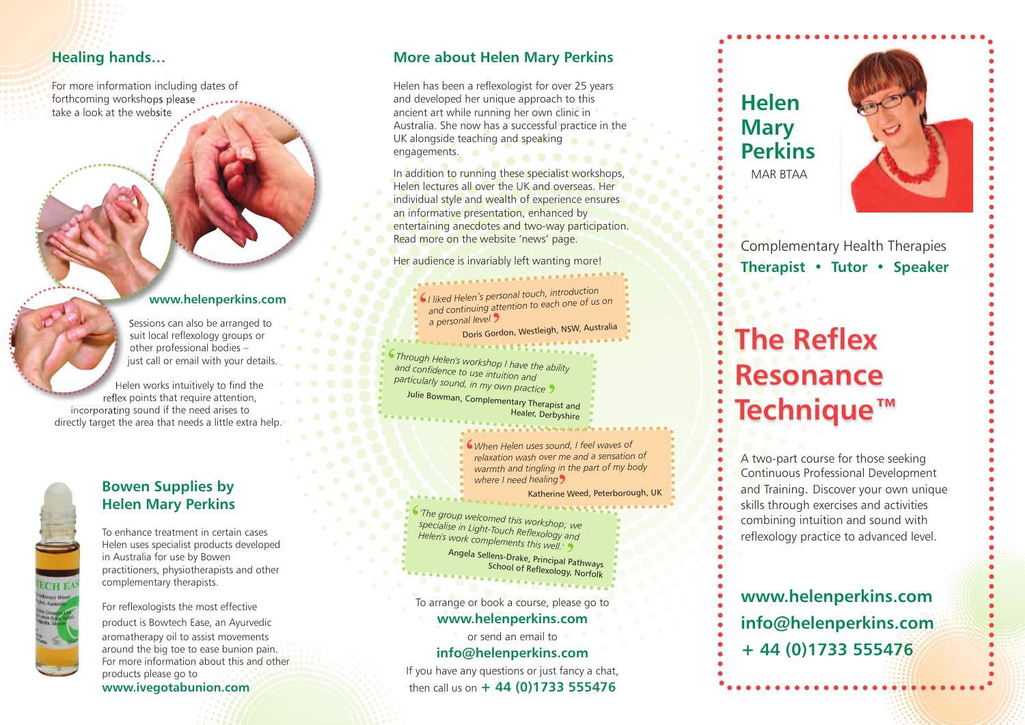## **Healing hands...**

For more information including dates of forthcoming workshops please take a look at the website

### **w w w . h e l e n p e r k i n s . c o m**

Sessions can also be arranged to suit local reflexology groups or other professional bodies – just call or email with your details.

Helen works intuitively to find the reflex points that require attention, incorporating sound if the need arises to directly target the area that needs a little extra help .



### **Bowen Supplies by Helen Mary Perkins**

To enhance treatment in certain cases Helen uses specialist products developed in Australia for use by Bowen practitioners, physiotherapists and other complementary therapists.

For reflexologists the most effective product is Bowtech Ease, an Ayurvedic aromatherapy oil to assist movements around the big toe to ease bunion pain. For more information about this and other products please go to www.ivegotabunion.com

### **More about Helen Mary Perkins**

Helen has been a reflexologist for over 25 years and developed her unique approach to this ancient art while running her own clinic in Australia. She now has a successful practice in the UK alongside teaching and speaking engagements.

In addition to running these specialist workshops, Helen lectures all over the UK and overseas. Her individual style and wealth of experience ensures an informative presentation, enhanced by entertaining anecdotes and two-way participation. Read more on the website 'news' page.

Her audience is invariably left wanting more!

I liked Helen's personal today, ...<br>and continuing attention to each one of us on *d He le n 's p e rs o n a l to u ch , in tro du ctio n* ' *a p e rs o n a l le ve l* 'Doris Gordon, Westleigh, NSW, Australia iili

*Through Helen's workshop I have the ability<br>and confidence to use intuiti* particularly sound, in my own practice *nd* connucle to use intuition and Julie Bowman, Complementary Therapist and  $\bm{\varsigma}$ 

Healer, Derbyshire

When Helen uses sound, I feel waves of relaxation wash over me and a sensation of warmth and tingling in the part of my body where I need healing

#### Katherine Weed, Peterborough, UK i

*l*<br>*Specialise in Light-Touch B, Grkshop; we Helen's work complements 44:00gy and co mp le m e n ts th is we ll. '* ' $\bm{\varsigma}$ 

Angela Sellens-Drake, Principal Pathways<br>School of Reflexels of Reflexology, Norfolk

To arrange or book a course, please go to

### www.helenperkins.com

or send an email to info@helenperkins.com

If you have any questions or just fancy a chat, then call us on  $+44(0)$ 1733 555476

# **H e l e n M a r y Perkins** MAR BTAA



Complementary Health Therapies **herapist • Tutor • Speaker** 

# **he** Reflex **Resonance Technique™**

A two-part course for those seeking Continuous Professional Development and Training. Discover your own unique skills through exercises and activities combining intuition and sound with reflexology practice to advanced level.

**www.helenperkins.com** info@helenperkins.com **+ 4 4 ( 0 ) 1 7 3 3 5 5 5 4 7 6**